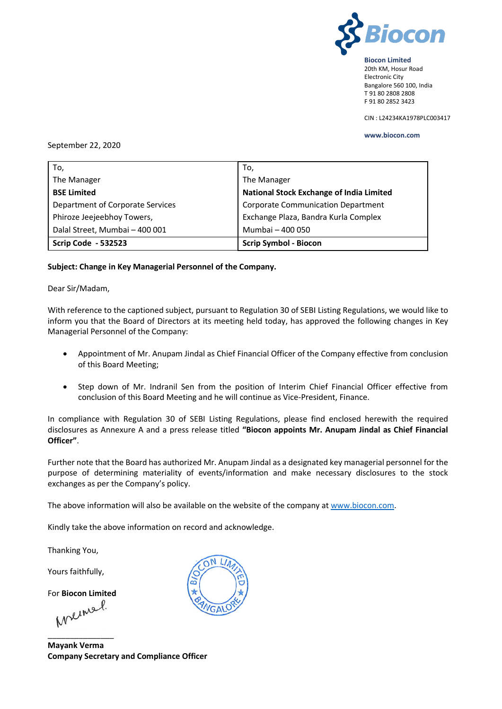

20th KM, Hosur Road Electronic City Bangalore 560 100, India T 91 80 2808 2808 F 91 80 2852 3423

CIN : L24234KA1978PLC003417

#### **www.biocon.com**

#### September 22, 2020

| To,                              | To,                                             |  |
|----------------------------------|-------------------------------------------------|--|
| The Manager                      | The Manager                                     |  |
| <b>BSE Limited</b>               | <b>National Stock Exchange of India Limited</b> |  |
| Department of Corporate Services | <b>Corporate Communication Department</b>       |  |
| Phiroze Jeejeebhoy Towers,       | Exchange Plaza, Bandra Kurla Complex            |  |
| Dalal Street, Mumbai - 400 001   | Mumbai - 400 050                                |  |
| <b>Scrip Code - 532523</b>       | <b>Scrip Symbol - Biocon</b>                    |  |

### **Subject: Change in Key Managerial Personnel of the Company.**

### Dear Sir/Madam,

With reference to the captioned subject, pursuant to Regulation 30 of SEBI Listing Regulations, we would like to inform you that the Board of Directors at its meeting held today, has approved the following changes in Key Managerial Personnel of the Company:

- Appointment of Mr. Anupam Jindal as Chief Financial Officer of the Company effective from conclusion of this Board Meeting;
- Step down of Mr. Indranil Sen from the position of Interim Chief Financial Officer effective from conclusion of this Board Meeting and he will continue as Vice-President, Finance.

In compliance with Regulation 30 of SEBI Listing Regulations, please find enclosed herewith the required disclosures as Annexure A and a press release titled **"Biocon appoints Mr. Anupam Jindal as Chief Financial Officer"**.

Further note that the Board has authorized Mr. Anupam Jindal as a designated key managerial personnel for the purpose of determining materiality of events/information and make necessary disclosures to the stock exchanges as per the Company's policy.

The above information will also be available on the website of the company a[t www.biocon.com.](http://www.biocon.com/)

Kindly take the above information on record and acknowledge.

Thanking You,

Yours faithfully,

For **Biocon Limited**

\_\_\_\_\_\_\_\_\_\_\_\_\_\_\_

**Mayank Verma Company Secretary and Compliance Officer**